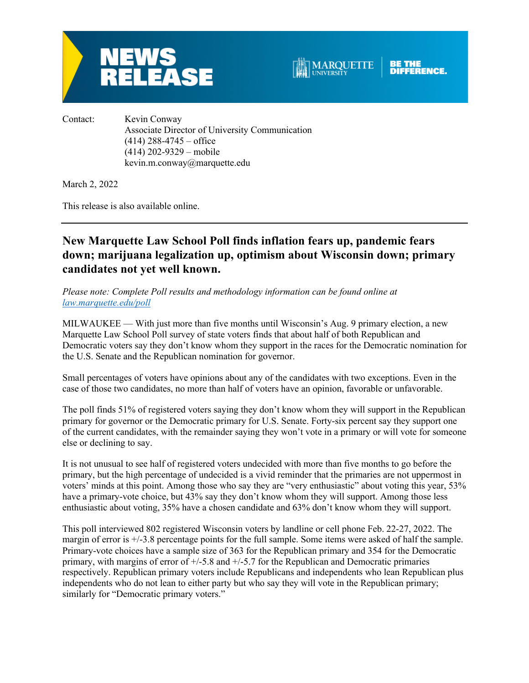



Contact: Kevin Conway Associate Director of University Communication  $(414)$  288-4745 – office (414) 202-9329 – mobile kevin.m.conway@marquette.edu

March 2, 2022

This release is also available online.

# **New Marquette Law School Poll finds inflation fears up, pandemic fears down; marijuana legalization up, optimism about Wisconsin down; primary candidates not yet well known.**

*Please note: Complete Poll results and methodology information can be found online at law.marquette.edu/poll*

MILWAUKEE — With just more than five months until Wisconsin's Aug. 9 primary election, a new Marquette Law School Poll survey of state voters finds that about half of both Republican and Democratic voters say they don't know whom they support in the races for the Democratic nomination for the U.S. Senate and the Republican nomination for governor.

Small percentages of voters have opinions about any of the candidates with two exceptions. Even in the case of those two candidates, no more than half of voters have an opinion, favorable or unfavorable.

The poll finds 51% of registered voters saying they don't know whom they will support in the Republican primary for governor or the Democratic primary for U.S. Senate. Forty-six percent say they support one of the current candidates, with the remainder saying they won't vote in a primary or will vote for someone else or declining to say.

It is not unusual to see half of registered voters undecided with more than five months to go before the primary, but the high percentage of undecided is a vivid reminder that the primaries are not uppermost in voters' minds at this point. Among those who say they are "very enthusiastic" about voting this year, 53% have a primary-vote choice, but 43% say they don't know whom they will support. Among those less enthusiastic about voting, 35% have a chosen candidate and 63% don't know whom they will support.

This poll interviewed 802 registered Wisconsin voters by landline or cell phone Feb. 22-27, 2022. The margin of error is +/-3.8 percentage points for the full sample. Some items were asked of half the sample. Primary-vote choices have a sample size of 363 for the Republican primary and 354 for the Democratic primary, with margins of error of  $+/5.8$  and  $+/5.7$  for the Republican and Democratic primaries respectively. Republican primary voters include Republicans and independents who lean Republican plus independents who do not lean to either party but who say they will vote in the Republican primary; similarly for "Democratic primary voters."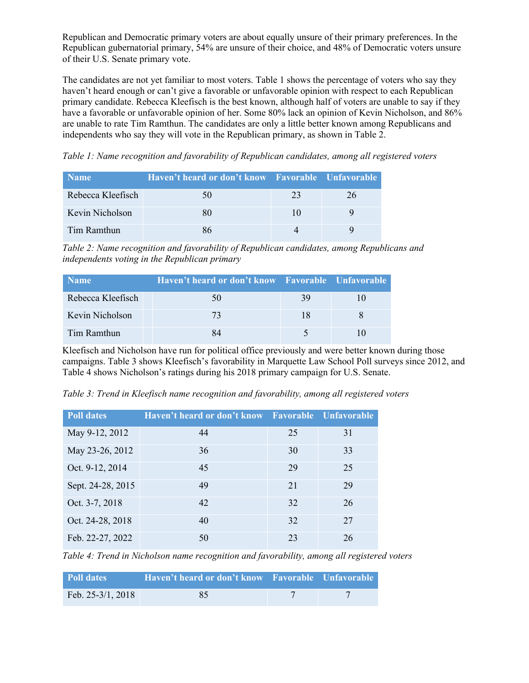Republican and Democratic primary voters are about equally unsure of their primary preferences. In the Republican gubernatorial primary, 54% are unsure of their choice, and 48% of Democratic voters unsure of their U.S. Senate primary vote.

The candidates are not yet familiar to most voters. Table 1 shows the percentage of voters who say they haven't heard enough or can't give a favorable or unfavorable opinion with respect to each Republican primary candidate. Rebecca Kleefisch is the best known, although half of voters are unable to say if they have a favorable or unfavorable opinion of her. Some 80% lack an opinion of Kevin Nicholson, and 86% are unable to rate Tim Ramthun. The candidates are only a little better known among Republicans and independents who say they will vote in the Republican primary, as shown in Table 2.

*Table 1: Name recognition and favorability of Republican candidates, among all registered voters*

| <b>Name</b>       | Haven't heard or don't know Favorable Unfavorable |    |    |
|-------------------|---------------------------------------------------|----|----|
| Rebecca Kleefisch | 50                                                | 23 | 26 |
| Kevin Nicholson   |                                                   | 10 |    |
| Tim Ramthun       |                                                   |    |    |

*Table 2: Name recognition and favorability of Republican candidates, among Republicans and independents voting in the Republican primary*

| <b>Name</b>       | Haven't heard or don't know Favorable Unfavorable |    |  |
|-------------------|---------------------------------------------------|----|--|
| Rebecca Kleefisch | 50                                                | 39 |  |
| Kevin Nicholson   | 73                                                | 18 |  |
| Tim Ramthun       |                                                   |    |  |

Kleefisch and Nicholson have run for political office previously and were better known during those campaigns. Table 3 shows Kleefisch's favorability in Marquette Law School Poll surveys since 2012, and Table 4 shows Nicholson's ratings during his 2018 primary campaign for U.S. Senate.

| <b>Poll dates</b> | Haven't heard or don't know Favorable Unfavorable |    |    |
|-------------------|---------------------------------------------------|----|----|
| May 9-12, 2012    | 44                                                | 25 | 31 |
| May 23-26, 2012   | 36                                                | 30 | 33 |
| Oct. 9-12, 2014   | 45                                                | 29 | 25 |
| Sept. 24-28, 2015 | 49                                                | 21 | 29 |
| Oct. 3-7, 2018    | 42                                                | 32 | 26 |
| Oct. 24-28, 2018  | 40                                                | 32 | 27 |
| Feb. 22-27, 2022  | 50                                                | 23 | 26 |

*Table 3: Trend in Kleefisch name recognition and favorability, among all registered voters*

*Table 4: Trend in Nicholson name recognition and favorability, among all registered voters*

| Poll dates          | Haven't heard or don't know Favorable Unfavorable |  |
|---------------------|---------------------------------------------------|--|
| Feb. $25-3/1, 2018$ |                                                   |  |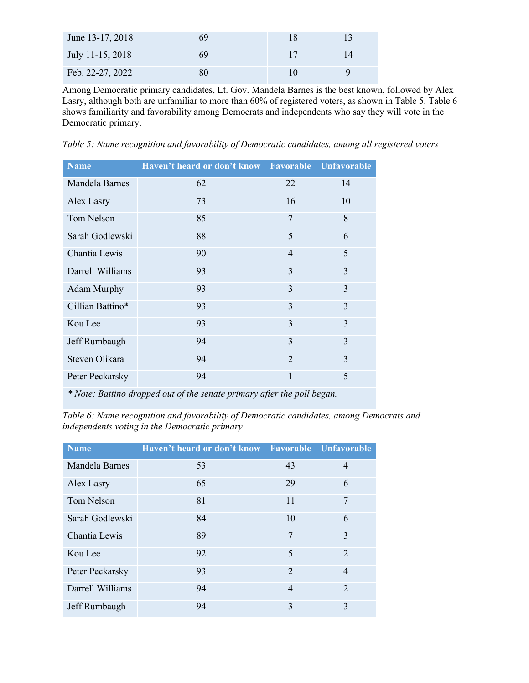| June 13-17, 2018 | 69 |   |
|------------------|----|---|
| July 11-15, 2018 | 69 |   |
| Feb. 22-27, 2022 |    | Q |

Among Democratic primary candidates, Lt. Gov. Mandela Barnes is the best known, followed by Alex Lasry, although both are unfamiliar to more than 60% of registered voters, as shown in Table 5. Table 6 shows familiarity and favorability among Democrats and independents who say they will vote in the Democratic primary.

*Table 5: Name recognition and favorability of Democratic candidates, among all registered voters*

| <b>Name</b>      | Haven't heard or don't know | <b>Favorable</b> | <b>Unfavorable</b> |
|------------------|-----------------------------|------------------|--------------------|
| Mandela Barnes   | 62                          | 22               | 14                 |
| Alex Lasry       | 73                          | 16               | 10                 |
| Tom Nelson       | 85                          | 7                | 8                  |
| Sarah Godlewski  | 88                          | 5                | 6                  |
| Chantia Lewis    | 90                          | $\overline{4}$   | 5                  |
| Darrell Williams | 93                          | 3                | 3                  |
| Adam Murphy      | 93                          | 3                | 3                  |
| Gillian Battino* | 93                          | 3                | 3                  |
| Kou Lee          | 93                          | 3                | 3                  |
| Jeff Rumbaugh    | 94                          | 3                | 3                  |
| Steven Olikara   | 94                          | $\overline{2}$   | 3                  |
| Peter Peckarsky  | 94                          | 1                | 5                  |

*\* Note: Battino dropped out of the senate primary after the poll began.*

*Table 6: Name recognition and favorability of Democratic candidates, among Democrats and independents voting in the Democratic primary*

| <b>Name</b>      | Haven't heard or don't know Favorable Unfavorable |                |                             |
|------------------|---------------------------------------------------|----------------|-----------------------------|
| Mandela Barnes   | 53                                                | 43             | 4                           |
| Alex Lasry       | 65                                                | 29             | 6                           |
| Tom Nelson       | 81                                                | 11             | 7                           |
| Sarah Godlewski  | 84                                                | 10             | 6                           |
| Chantia Lewis    | 89                                                | 7              | 3                           |
| Kou Lee          | 92                                                | 5              | $\mathcal{D}_{\mathcal{A}}$ |
| Peter Peckarsky  | 93                                                | $\overline{2}$ | $\overline{4}$              |
| Darrell Williams | 94                                                | $\overline{4}$ | $\mathfrak{D}$              |
| Jeff Rumbaugh    | 94                                                | 3              | 3                           |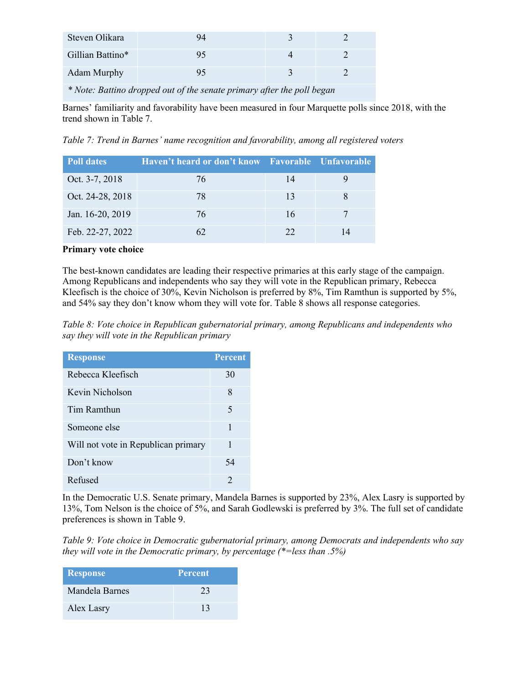| Steven Olikara     |  |  |
|--------------------|--|--|
| Gillian Battino*   |  |  |
| <b>Adam Murphy</b> |  |  |

*\* Note: Battino dropped out of the senate primary after the poll began*

Barnes' familiarity and favorability have been measured in four Marquette polls since 2018, with the trend shown in Table 7.

*Table 7: Trend in Barnes' name recognition and favorability, among all registered voters*

| Poll dates       | Haven't heard or don't know Favorable Unfavorable |    |  |
|------------------|---------------------------------------------------|----|--|
| Oct. 3-7, 2018   | 76                                                | 14 |  |
| Oct. 24-28, 2018 | 78                                                | 13 |  |
| Jan. 16-20, 2019 | 76                                                | 16 |  |
| Feb. 22-27, 2022 |                                                   | 22 |  |

# **Primary vote choice**

The best-known candidates are leading their respective primaries at this early stage of the campaign. Among Republicans and independents who say they will vote in the Republican primary, Rebecca Kleefisch is the choice of 30%, Kevin Nicholson is preferred by 8%, Tim Ramthun is supported by 5%, and 54% say they don't know whom they will vote for. Table 8 shows all response categories.

*Table 8: Vote choice in Republican gubernatorial primary, among Republicans and independents who say they will vote in the Republican primary*

| <b>Response</b>                     | <b>Percent</b> |
|-------------------------------------|----------------|
| Rebecca Kleefisch                   | 30             |
| Kevin Nicholson                     | 8              |
| Tim Ramthun                         | 5              |
| Someone else                        | 1              |
| Will not vote in Republican primary | 1              |
| Don't know                          | 54             |
| Refused                             | $\mathfrak{D}$ |

In the Democratic U.S. Senate primary, Mandela Barnes is supported by 23%, Alex Lasry is supported by 13%, Tom Nelson is the choice of 5%, and Sarah Godlewski is preferred by 3%. The full set of candidate preferences is shown in Table 9.

*Table 9: Vote choice in Democratic gubernatorial primary, among Democrats and independents who say they will vote in the Democratic primary, by percentage (\*=less than .5%)*

| <b>Response</b> | <b>Percent</b> |
|-----------------|----------------|
| Mandela Barnes  | 23             |
| Alex Lasry      | 13             |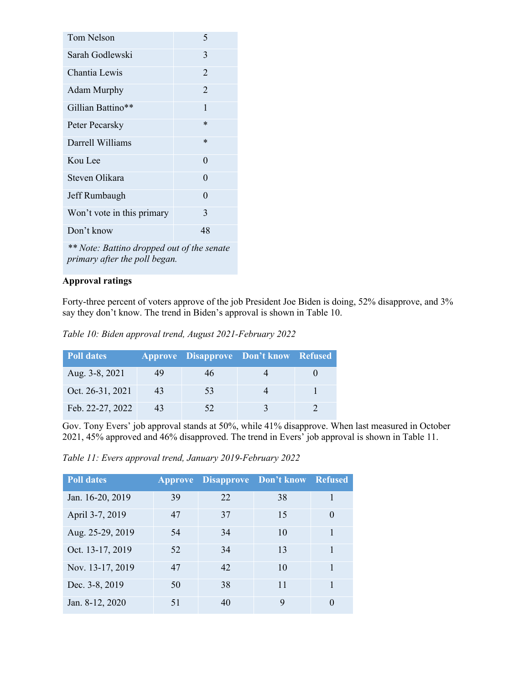| Tom Nelson                                                                  | 5              |  |
|-----------------------------------------------------------------------------|----------------|--|
| Sarah Godlewski                                                             | 3              |  |
| Chantia Lewis                                                               | $\overline{2}$ |  |
| Adam Murphy                                                                 | $\overline{2}$ |  |
| Gillian Battino**                                                           | 1              |  |
| Peter Pecarsky                                                              | $\ast$         |  |
| Darrell Williams                                                            | $\ast$         |  |
| Kou Lee                                                                     | 0              |  |
| Steven Olikara                                                              | 0              |  |
| Jeff Rumbaugh                                                               | 0              |  |
| Won't vote in this primary                                                  | 3              |  |
| Don't know<br>48                                                            |                |  |
| ** Note: Battino dropped out of the senate<br>primary after the poll began. |                |  |

# **Approval ratings**

Forty-three percent of voters approve of the job President Joe Biden is doing, 52% disapprove, and 3% say they don't know. The trend in Biden's approval is shown in Table 10.

*Table 10: Biden approval trend, August 2021-February 2022*

| <b>Poll dates</b> |    |    | <b>Approve Disapprove Don't know Refused</b> |  |
|-------------------|----|----|----------------------------------------------|--|
| Aug. 3-8, 2021    | 49 | 46 |                                              |  |
| Oct. 26-31, 2021  | 43 | 53 |                                              |  |
| Feb. 22-27, 2022  | 43 | 52 |                                              |  |

Gov. Tony Evers' job approval stands at 50%, while 41% disapprove. When last measured in October 2021, 45% approved and 46% disapproved. The trend in Evers' job approval is shown in Table 11.

*Table 11: Evers approval trend, January 2019-February 2022*

| <b>Poll dates</b> |    |    | <b>Approve Disapprove Don't know Refused</b> |          |
|-------------------|----|----|----------------------------------------------|----------|
| Jan. 16-20, 2019  | 39 | 22 | 38                                           |          |
| April 3-7, 2019   | 47 | 37 | 15                                           | 0        |
| Aug. 25-29, 2019  | 54 | 34 | 10                                           |          |
| Oct. 13-17, 2019  | 52 | 34 | 13                                           | 1        |
| Nov. 13-17, 2019  | 47 | 42 | 10                                           |          |
| Dec. 3-8, 2019    | 50 | 38 | 11                                           |          |
| Jan. 8-12, 2020   | 51 | 40 | 9                                            | $\Omega$ |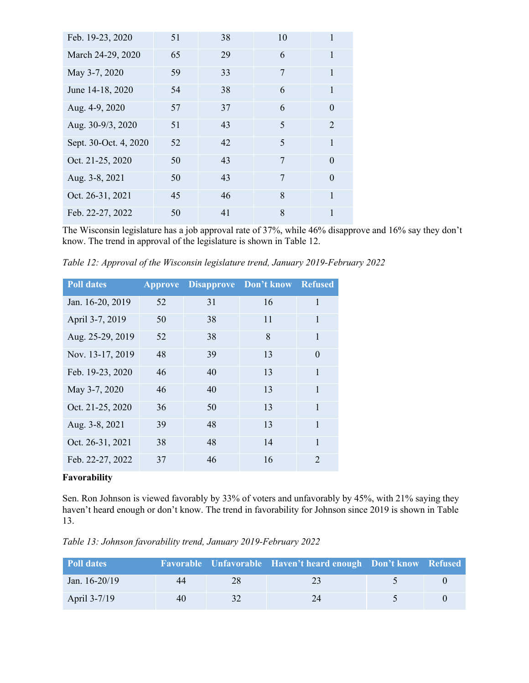| Feb. 19-23, 2020      | 51 | 38 | 10             |                             |
|-----------------------|----|----|----------------|-----------------------------|
| March 24-29, 2020     | 65 | 29 | 6              | 1                           |
| May 3-7, 2020         | 59 | 33 | 7              | 1                           |
| June 14-18, 2020      | 54 | 38 | 6              | 1                           |
| Aug. 4-9, 2020        | 57 | 37 | 6              | $\theta$                    |
| Aug. 30-9/3, 2020     | 51 | 43 | $\overline{5}$ | $\mathcal{D}_{\mathcal{L}}$ |
| Sept. 30-Oct. 4, 2020 | 52 | 42 | 5              | 1                           |
| Oct. 21-25, 2020      | 50 | 43 | $\overline{7}$ | $\Omega$                    |
| Aug. 3-8, 2021        | 50 | 43 | 7              | $\Omega$                    |
| Oct. 26-31, 2021      | 45 | 46 | 8              | 1                           |
| Feb. 22-27, 2022      | 50 | 41 | 8              |                             |

The Wisconsin legislature has a job approval rate of 37%, while 46% disapprove and 16% say they don't know. The trend in approval of the legislature is shown in Table 12.

*Table 12: Approval of the Wisconsin legislature trend, January 2019-February 2022*

| <b>Poll dates</b> | <b>Approve</b> | <b>Disapprove</b> | Don't know | <b>Refused</b>              |
|-------------------|----------------|-------------------|------------|-----------------------------|
| Jan. 16-20, 2019  | 52             | 31                | 16         | 1                           |
| April 3-7, 2019   | 50             | 38                | 11         | 1                           |
| Aug. 25-29, 2019  | 52             | 38                | 8          | 1                           |
| Nov. 13-17, 2019  | 48             | 39                | 13         | 0                           |
| Feb. 19-23, 2020  | 46             | 40                | 13         | 1                           |
| May 3-7, 2020     | 46             | 40                | 13         | 1                           |
| Oct. 21-25, 2020  | 36             | 50                | 13         | 1                           |
| Aug. 3-8, 2021    | 39             | 48                | 13         | 1                           |
| Oct. 26-31, 2021  | 38             | 48                | 14         | 1                           |
| Feb. 22-27, 2022  | 37             | 46                | 16         | $\mathcal{D}_{\mathcal{L}}$ |

## **Favorability**

Sen. Ron Johnson is viewed favorably by 33% of voters and unfavorably by 45%, with 21% saying they haven't heard enough or don't know. The trend in favorability for Johnson since 2019 is shown in Table 13.

*Table 13: Johnson favorability trend, January 2019-February 2022*

| <b>Poll dates</b> |    |    | Favorable Unfavorable Haven't heard enough Don't know Refused |  |
|-------------------|----|----|---------------------------------------------------------------|--|
| Jan. $16-20/19$   | 44 | 28 | 73                                                            |  |
| April 3-7/19      | 40 |    |                                                               |  |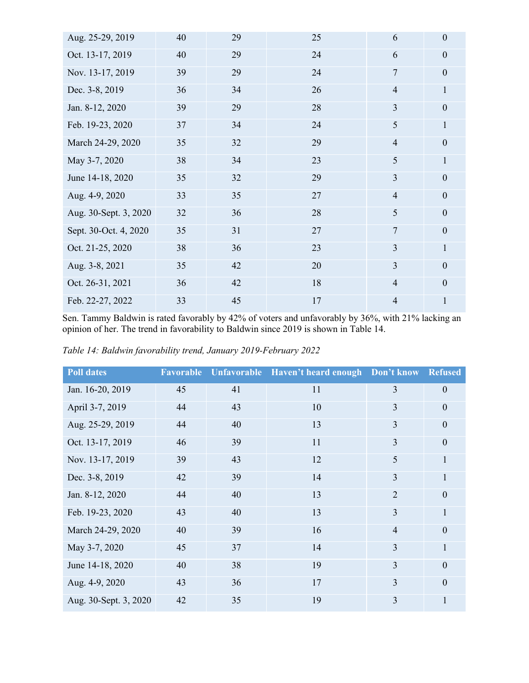| Aug. 25-29, 2019      | 40 | 29 | 25 | 6              | $\boldsymbol{0}$ |
|-----------------------|----|----|----|----------------|------------------|
| Oct. 13-17, 2019      | 40 | 29 | 24 | 6              | $\boldsymbol{0}$ |
| Nov. 13-17, 2019      | 39 | 29 | 24 | $\overline{7}$ | $\boldsymbol{0}$ |
| Dec. 3-8, 2019        | 36 | 34 | 26 | $\overline{4}$ | $\mathbf{1}$     |
| Jan. 8-12, 2020       | 39 | 29 | 28 | 3              | $\mathbf{0}$     |
| Feb. 19-23, 2020      | 37 | 34 | 24 | 5              | $\mathbf{1}$     |
| March 24-29, 2020     | 35 | 32 | 29 | $\overline{4}$ | $\boldsymbol{0}$ |
| May 3-7, 2020         | 38 | 34 | 23 | 5              | $\mathbf{1}$     |
| June 14-18, 2020      | 35 | 32 | 29 | $\overline{3}$ | $\boldsymbol{0}$ |
| Aug. 4-9, 2020        | 33 | 35 | 27 | $\overline{4}$ | $\boldsymbol{0}$ |
| Aug. 30-Sept. 3, 2020 | 32 | 36 | 28 | 5              | $\mathbf{0}$     |
| Sept. 30-Oct. 4, 2020 | 35 | 31 | 27 | $\overline{7}$ | $\boldsymbol{0}$ |
| Oct. 21-25, 2020      | 38 | 36 | 23 | 3              | $\mathbf{1}$     |
| Aug. 3-8, 2021        | 35 | 42 | 20 | 3              | $\boldsymbol{0}$ |
| Oct. 26-31, 2021      | 36 | 42 | 18 | $\overline{4}$ | $\mathbf{0}$     |
| Feb. 22-27, 2022      | 33 | 45 | 17 | $\overline{4}$ | $\mathbf{1}$     |

Sen. Tammy Baldwin is rated favorably by 42% of voters and unfavorably by 36%, with 21% lacking an opinion of her. The trend in favorability to Baldwin since 2019 is shown in Table 14.

| Table 14: Baldwin favorability trend, January 2019-February 2022 |  |
|------------------------------------------------------------------|--|
|                                                                  |  |

| <b>Poll dates</b>     | <b>Favorable</b> | <b>Unfavorable</b> | Haven't heard enough Don't know |                | <b>Refused</b> |
|-----------------------|------------------|--------------------|---------------------------------|----------------|----------------|
| Jan. 16-20, 2019      | 45               | 41                 | 11                              | 3              | $\mathbf{0}$   |
| April 3-7, 2019       | 44               | 43                 | 10                              | 3              | $\theta$       |
| Aug. 25-29, 2019      | 44               | 40                 | 13                              | 3              | $\overline{0}$ |
| Oct. 13-17, 2019      | 46               | 39                 | 11                              | 3              | $\mathbf{0}$   |
| Nov. 13-17, 2019      | 39               | 43                 | 12                              | 5              | 1              |
| Dec. 3-8, 2019        | 42               | 39                 | 14                              | 3              | 1              |
| Jan. 8-12, 2020       | 44               | 40                 | 13                              | $\overline{2}$ | $\theta$       |
| Feb. 19-23, 2020      | 43               | 40                 | 13                              | 3              | 1              |
| March 24-29, 2020     | 40               | 39                 | 16                              | $\overline{4}$ | $\theta$       |
| May 3-7, 2020         | 45               | 37                 | 14                              | 3              | 1              |
| June 14-18, 2020      | 40               | 38                 | 19                              | 3              | $\Omega$       |
| Aug. 4-9, 2020        | 43               | 36                 | 17                              | $\overline{3}$ | $\theta$       |
| Aug. 30-Sept. 3, 2020 | 42               | 35                 | 19                              | 3              | 1              |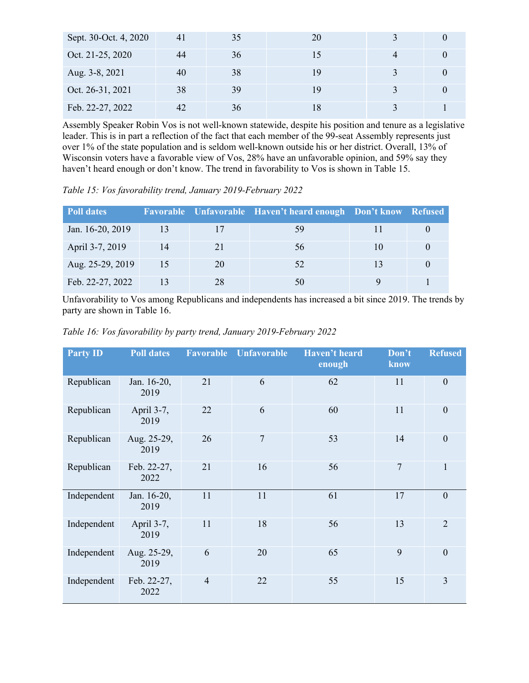| Sept. 30-Oct. 4, 2020 | 41 | 35 | 20 |  |
|-----------------------|----|----|----|--|
| Oct. 21-25, 2020      | 44 | 36 |    |  |
| Aug. 3-8, 2021        | 40 | 38 | 19 |  |
| Oct. 26-31, 2021      | 38 | 39 | 19 |  |
| Feb. 22-27, 2022      | 42 | 36 |    |  |

Assembly Speaker Robin Vos is not well-known statewide, despite his position and tenure as a legislative leader. This is in part a reflection of the fact that each member of the 99-seat Assembly represents just over 1% of the state population and is seldom well-known outside his or her district. Overall, 13% of Wisconsin voters have a favorable view of Vos, 28% have an unfavorable opinion, and 59% say they haven't heard enough or don't know. The trend in favorability to Vos is shown in Table 15.

*Table 15: Vos favorability trend, January 2019-February 2022*

| <b>Poll dates</b> |    |    | Favorable Unfavorable Haven't heard enough Don't know Refused |     |  |
|-------------------|----|----|---------------------------------------------------------------|-----|--|
| Jan. 16-20, 2019  | 13 | 17 | 59                                                            |     |  |
| April 3-7, 2019   | 14 | 21 | 56                                                            | 10. |  |
| Aug. 25-29, 2019  | 15 | 20 | 52                                                            |     |  |
| Feb. 22-27, 2022  |    | 28 | 50                                                            |     |  |

Unfavorability to Vos among Republicans and independents has increased a bit since 2019. The trends by party are shown in Table 16.

*Table 16: Vos favorability by party trend, January 2019-February 2022*

| <b>Party ID</b> | <b>Poll dates</b>   | <b>Favorable</b> | <b>Unfavorable</b> | Haven't heard<br>enough | Don't<br>know | <b>Refused</b> |
|-----------------|---------------------|------------------|--------------------|-------------------------|---------------|----------------|
| Republican      | Jan. 16-20,<br>2019 | 21               | 6                  | 62                      | 11            | $\overline{0}$ |
| Republican      | April 3-7,<br>2019  | 22               | 6                  | 60                      | 11            | $\overline{0}$ |
| Republican      | Aug. 25-29,<br>2019 | 26               | $\overline{7}$     | 53                      | 14            | $\overline{0}$ |
| Republican      | Feb. 22-27,<br>2022 | 21               | 16                 | 56                      | 7             | $\mathbf{1}$   |
| Independent     | Jan. 16-20,<br>2019 | 11               | 11                 | 61                      | 17            | $\overline{0}$ |
| Independent     | April 3-7,<br>2019  | 11               | 18                 | 56                      | 13            | $\overline{2}$ |
| Independent     | Aug. 25-29,<br>2019 | 6                | 20                 | 65                      | 9             | $\overline{0}$ |
| Independent     | Feb. 22-27,<br>2022 | $\overline{4}$   | 22                 | 55                      | 15            | 3              |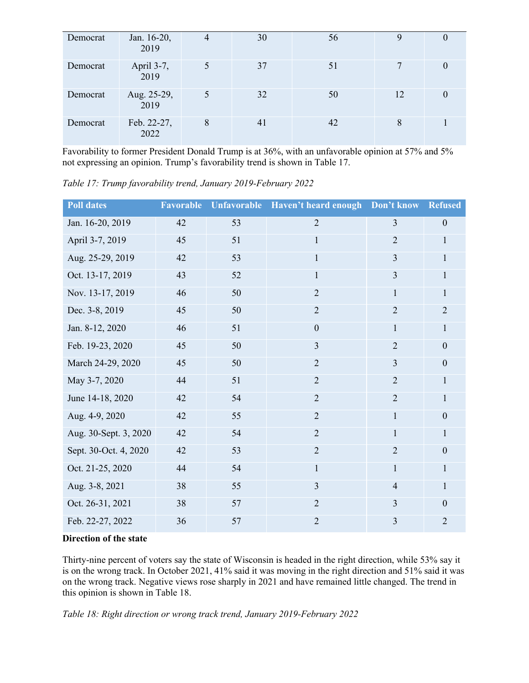| Democrat | Jan. 16-20,<br>2019 | 4 | 30 | 56 | 9  |  |
|----------|---------------------|---|----|----|----|--|
| Democrat | April 3-7,<br>2019  |   | 37 | 51 | 7  |  |
| Democrat | Aug. 25-29,<br>2019 |   | 32 | 50 | 12 |  |
| Democrat | Feb. 22-27,<br>2022 | 8 | 41 | 42 | 8  |  |

Favorability to former President Donald Trump is at 36%, with an unfavorable opinion at 57% and 5% not expressing an opinion. Trump's favorability trend is shown in Table 17.

*Table 17: Trump favorability trend, January 2019-February 2022*

| <b>Poll dates</b>     | Favorable |    | Unfavorable Haven't heard enough Don't know |                         | <b>Refused</b> |
|-----------------------|-----------|----|---------------------------------------------|-------------------------|----------------|
| Jan. 16-20, 2019      | 42        | 53 | $\overline{2}$                              | $\overline{3}$          | $\mathbf{0}$   |
| April 3-7, 2019       | 45        | 51 | $\mathbf{1}$                                | $\overline{2}$          | 1              |
| Aug. 25-29, 2019      | 42        | 53 | $\mathbf{1}$                                | $\overline{3}$          | 1              |
| Oct. 13-17, 2019      | 43        | 52 | $\mathbf{1}$                                | $\overline{3}$          | 1              |
| Nov. 13-17, 2019      | 46        | 50 | $\overline{2}$                              | $\mathbf{1}$            | 1              |
| Dec. 3-8, 2019        | 45        | 50 | $\overline{2}$                              | $\overline{2}$          | $\overline{2}$ |
| Jan. 8-12, 2020       | 46        | 51 | $\boldsymbol{0}$                            | $\mathbf{1}$            | $\mathbf{1}$   |
| Feb. 19-23, 2020      | 45        | 50 | $\overline{3}$                              | $\overline{2}$          | $\mathbf{0}$   |
| March 24-29, 2020     | 45        | 50 | $\overline{2}$                              | $\overline{3}$          | $\overline{0}$ |
| May 3-7, 2020         | 44        | 51 | $\overline{2}$                              | $\overline{2}$          | 1              |
| June 14-18, 2020      | 42        | 54 | $\overline{2}$                              | $\overline{2}$          | 1              |
| Aug. 4-9, 2020        | 42        | 55 | $\overline{2}$                              | $\mathbf{1}$            | $\mathbf{0}$   |
| Aug. 30-Sept. 3, 2020 | 42        | 54 | $\overline{2}$                              | $\mathbf{1}$            | $\mathbf{1}$   |
| Sept. 30-Oct. 4, 2020 | 42        | 53 | $\overline{2}$                              | $\overline{2}$          | $\overline{0}$ |
| Oct. 21-25, 2020      | 44        | 54 | $\mathbf{1}$                                | $\mathbf{1}$            | $\mathbf{1}$   |
| Aug. 3-8, 2021        | 38        | 55 | $\overline{3}$                              | $\overline{4}$          | $\mathbf{1}$   |
| Oct. 26-31, 2021      | 38        | 57 | $\overline{2}$                              | $\overline{3}$          | $\overline{0}$ |
| Feb. 22-27, 2022      | 36        | 57 | $\overline{2}$                              | $\overline{\mathbf{3}}$ | $\overline{2}$ |

## **Direction of the state**

Thirty-nine percent of voters say the state of Wisconsin is headed in the right direction, while 53% say it is on the wrong track. In October 2021, 41% said it was moving in the right direction and 51% said it was on the wrong track. Negative views rose sharply in 2021 and have remained little changed. The trend in this opinion is shown in Table 18.

*Table 18: Right direction or wrong track trend, January 2019-February 2022*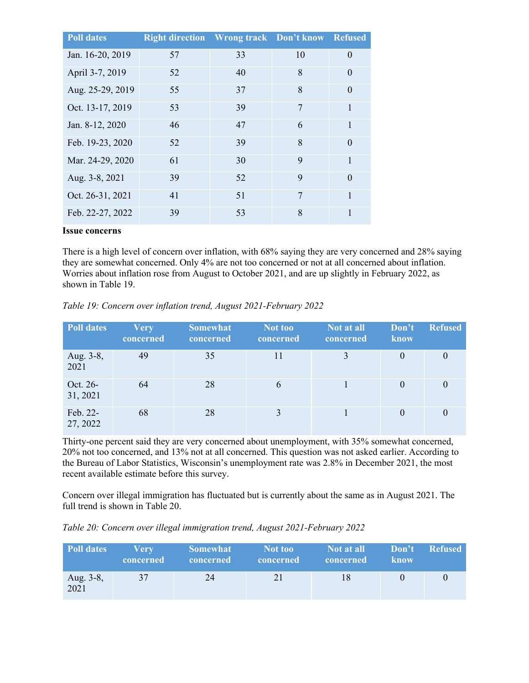| <b>Poll dates</b> | <b>Right direction</b> Wrong track Don't know |    |    | <b>Refused</b> |
|-------------------|-----------------------------------------------|----|----|----------------|
| Jan. 16-20, 2019  | 57                                            | 33 | 10 | $\Omega$       |
| April 3-7, 2019   | 52                                            | 40 | 8  | $\theta$       |
| Aug. 25-29, 2019  | 55                                            | 37 | 8  | $\Omega$       |
| Oct. 13-17, 2019  | 53                                            | 39 | 7  | 1              |
| Jan. 8-12, 2020   | 46                                            | 47 | 6  |                |
| Feb. 19-23, 2020  | 52                                            | 39 | 8  | $\Omega$       |
| Mar. 24-29, 2020  | 61                                            | 30 | 9  | 1              |
| Aug. 3-8, 2021    | 39                                            | 52 | 9  | $\Omega$       |
| Oct. 26-31, 2021  | 41                                            | 51 | 7  | 1              |
| Feb. 22-27, 2022  | 39                                            | 53 | 8  |                |

#### **Issue concerns**

There is a high level of concern over inflation, with 68% saying they are very concerned and 28% saying they are somewhat concerned. Only 4% are not too concerned or not at all concerned about inflation. Worries about inflation rose from August to October 2021, and are up slightly in February 2022, as shown in Table 19.

| <b>Poll dates</b>    | <b>Very</b><br>concerned | <b>Somewhat</b><br>concerned | Not too<br>concerned | Not at all<br>concerned | Don't<br>know | <b>Refused</b> |
|----------------------|--------------------------|------------------------------|----------------------|-------------------------|---------------|----------------|
| Aug. 3-8,<br>2021    | 49                       | 35                           | 11                   | 3                       |               |                |
| Oct. 26-<br>31, 2021 | 64                       | 28                           | 6                    |                         | $\theta$      |                |
| Feb. 22-<br>27, 2022 | 68                       | 28                           | 3                    |                         |               |                |

*Table 19: Concern over inflation trend, August 2021-February 2022*

Thirty-one percent said they are very concerned about unemployment, with 35% somewhat concerned, 20% not too concerned, and 13% not at all concerned. This question was not asked earlier. According to the Bureau of Labor Statistics, Wisconsin's unemployment rate was 2.8% in December 2021, the most recent available estimate before this survey.

Concern over illegal immigration has fluctuated but is currently about the same as in August 2021. The full trend is shown in Table 20.

*Table 20: Concern over illegal immigration trend, August 2021-February 2022*

| <b>Poll dates</b> | <b>Very</b><br>concerned | <b>Somewhat</b><br>concerned | Not too<br>  concerned | Not at all<br>concerned | <b>know</b> | Don't Refused |
|-------------------|--------------------------|------------------------------|------------------------|-------------------------|-------------|---------------|
| Aug. 3-8,<br>2021 | 37                       | 24                           | 21                     | 18                      |             |               |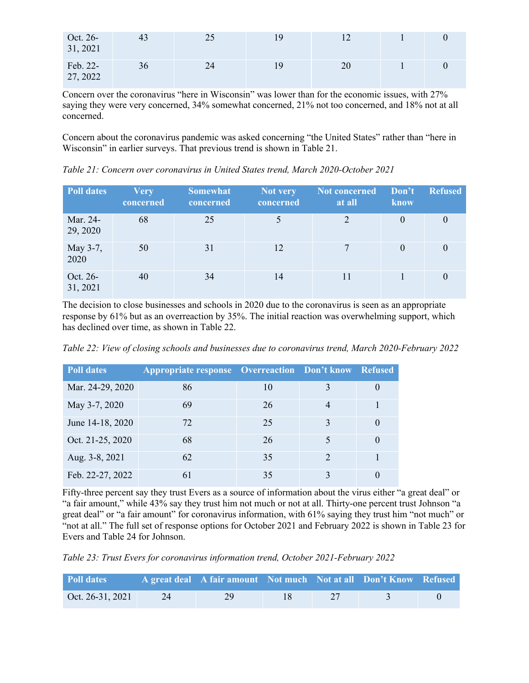| Oct. 26-<br>31, 2021 | 43 | 25 | 19 |    |  |
|----------------------|----|----|----|----|--|
| Feb. 22-<br>27, 2022 | 36 | 24 | 19 | 20 |  |

Concern over the coronavirus "here in Wisconsin" was lower than for the economic issues, with 27% saying they were very concerned, 34% somewhat concerned, 21% not too concerned, and 18% not at all concerned.

Concern about the coronavirus pandemic was asked concerning "the United States" rather than "here in Wisconsin" in earlier surveys. That previous trend is shown in Table 21.

*Table 21: Concern over coronavirus in United States trend, March 2020-October 2021*

| <b>Poll dates</b>    | <b>Very</b><br>concerned | <b>Somewhat</b><br>concerned | <b>Not very</b><br>concerned | Not concerned<br>at all | Don't<br>know | <b>Refused</b>   |
|----------------------|--------------------------|------------------------------|------------------------------|-------------------------|---------------|------------------|
| Mar. 24-<br>29, 2020 | 68                       | 25                           |                              |                         | $\theta$      | 0                |
| May 3-7,<br>2020     | 50                       | 31                           | 12                           |                         | $\theta$      | $\left( \right)$ |
| Oct. 26-<br>31, 2021 | 40                       | 34                           | 14                           | 11                      |               |                  |

The decision to close businesses and schools in 2020 due to the coronavirus is seen as an appropriate response by 61% but as an overreaction by 35%. The initial reaction was overwhelming support, which has declined over time, as shown in Table 22.

*Table 22: View of closing schools and businesses due to coronavirus trend, March 2020-February 2022*

| <b>Poll dates</b> | <b>Appropriate response Overreaction Don't know Refused</b> |    |               |          |
|-------------------|-------------------------------------------------------------|----|---------------|----------|
| Mar. 24-29, 2020  | 86                                                          | 10 |               | $\theta$ |
| May 3-7, 2020     | 69                                                          | 26 |               |          |
| June 14-18, 2020  | 72                                                          | 25 | 3             | $\theta$ |
| Oct. 21-25, 2020  | 68                                                          | 26 |               | $\theta$ |
| Aug. 3-8, 2021    | 62                                                          | 35 | $\mathcal{D}$ |          |
| Feb. 22-27, 2022  | 61                                                          | 35 |               |          |

Fifty-three percent say they trust Evers as a source of information about the virus either "a great deal" or "a fair amount," while 43% say they trust him not much or not at all. Thirty-one percent trust Johnson "a great deal" or "a fair amount" for coronavirus information, with 61% saying they trust him "not much" or "not at all." The full set of response options for October 2021 and February 2022 is shown in Table 23 for Evers and Table 24 for Johnson.

*Table 23: Trust Evers for coronavirus information trend, October 2021-February 2022*

| Poll dates       |    | A great deal   A fair amount   Not much   Not at all   Don't Know   Refused |  |  |
|------------------|----|-----------------------------------------------------------------------------|--|--|
| Oct. 26-31, 2021 | 24 | 29                                                                          |  |  |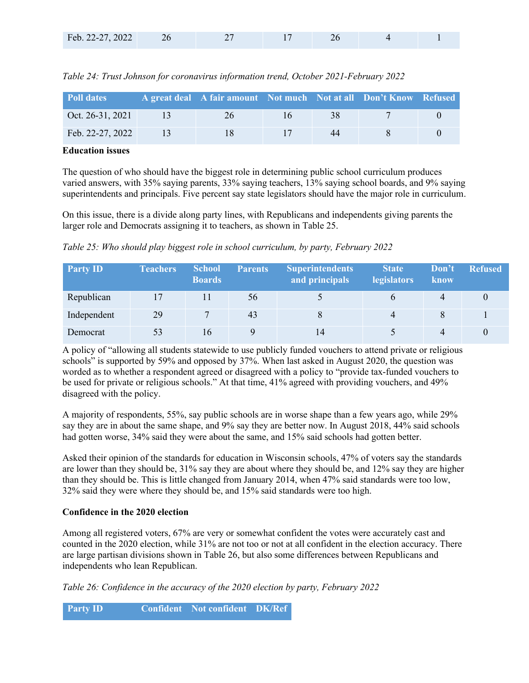| Feb. 22-27, 2022 |  |  |  |
|------------------|--|--|--|
|                  |  |  |  |

| <b>Poll dates</b> | A great deal A fair amount Not much Not at all Don't Know Refused |    |  |
|-------------------|-------------------------------------------------------------------|----|--|
| Oct. 26-31, 2021  | 26                                                                | 38 |  |
| Feb. 22-27, 2022  |                                                                   | 44 |  |

*Table 24: Trust Johnson for coronavirus information trend, October 2021-February 2022*

#### **Education issues**

The question of who should have the biggest role in determining public school curriculum produces varied answers, with 35% saying parents, 33% saying teachers, 13% saying school boards, and 9% saying superintendents and principals. Five percent say state legislators should have the major role in curriculum.

On this issue, there is a divide along party lines, with Republicans and independents giving parents the larger role and Democrats assigning it to teachers, as shown in Table 25.

*Table 25: Who should play biggest role in school curriculum, by party, February 2022*

| <b>Party ID</b> | <b>Teachers</b> | <b>School</b><br><b>Boards</b> | <b>Parents</b> | <b>Superintendents</b><br>and principals | <b>State</b><br><b>legislators</b> | Don't<br><b>know</b> | <b>Refused</b> |
|-----------------|-----------------|--------------------------------|----------------|------------------------------------------|------------------------------------|----------------------|----------------|
| Republican      |                 |                                | 56             |                                          |                                    | Δ                    |                |
| Independent     | 29              | $\mathbf{r}$                   | 43             |                                          | 4                                  |                      |                |
| Democrat        | 53              | 16                             |                | 14                                       |                                    | 4                    |                |

A policy of "allowing all students statewide to use publicly funded vouchers to attend private or religious schools" is supported by 59% and opposed by 37%. When last asked in August 2020, the question was worded as to whether a respondent agreed or disagreed with a policy to "provide tax-funded vouchers to be used for private or religious schools." At that time, 41% agreed with providing vouchers, and 49% disagreed with the policy.

A majority of respondents, 55%, say public schools are in worse shape than a few years ago, while 29% say they are in about the same shape, and 9% say they are better now. In August 2018, 44% said schools had gotten worse, 34% said they were about the same, and 15% said schools had gotten better.

Asked their opinion of the standards for education in Wisconsin schools, 47% of voters say the standards are lower than they should be, 31% say they are about where they should be, and 12% say they are higher than they should be. This is little changed from January 2014, when 47% said standards were too low, 32% said they were where they should be, and 15% said standards were too high.

## **Confidence in the 2020 election**

Among all registered voters, 67% are very or somewhat confident the votes were accurately cast and counted in the 2020 election, while 31% are not too or not at all confident in the election accuracy. There are large partisan divisions shown in Table 26, but also some differences between Republicans and independents who lean Republican.

*Table 26: Confidence in the accuracy of the 2020 election by party, February 2022*

**Party ID Confident Not confident DK/Ref**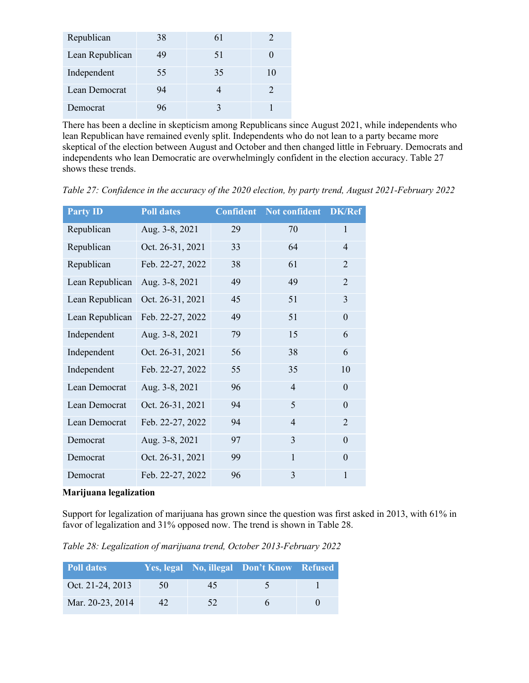| Republican      | 38 | 61 |    |
|-----------------|----|----|----|
| Lean Republican | 49 | 51 |    |
| Independent     | 55 | 35 | 10 |
| Lean Democrat   | 94 |    |    |
| Democrat        |    |    |    |

There has been a decline in skepticism among Republicans since August 2021, while independents who lean Republican have remained evenly split. Independents who do not lean to a party became more skeptical of the election between August and October and then changed little in February. Democrats and independents who lean Democratic are overwhelmingly confident in the election accuracy. Table 27 shows these trends.

| <b>Party ID</b> | <b>Poll dates</b> | <b>Confident</b> | Not confident  | <b>DK/Ref</b>    |
|-----------------|-------------------|------------------|----------------|------------------|
| Republican      | Aug. 3-8, 2021    | 29               | 70             | $\mathbf{1}$     |
| Republican      | Oct. 26-31, 2021  | 33               | 64             | $\overline{4}$   |
| Republican      | Feb. 22-27, 2022  | 38               | 61             | $\overline{2}$   |
| Lean Republican | Aug. 3-8, 2021    | 49               | 49             | $\overline{2}$   |
| Lean Republican | Oct. 26-31, 2021  | 45               | 51             | 3                |
| Lean Republican | Feb. 22-27, 2022  | 49               | 51             | $\boldsymbol{0}$ |
| Independent     | Aug. 3-8, 2021    | 79               | 15             | 6                |
| Independent     | Oct. 26-31, 2021  | 56               | 38             | 6                |
| Independent     | Feb. 22-27, 2022  | 55               | 35             | 10               |
| Lean Democrat   | Aug. 3-8, 2021    | 96               | $\overline{4}$ | $\theta$         |
| Lean Democrat   | Oct. 26-31, 2021  | 94               | 5              | $\theta$         |
| Lean Democrat   | Feb. 22-27, 2022  | 94               | $\overline{4}$ | $\overline{2}$   |
| Democrat        | Aug. 3-8, 2021    | 97               | 3              | $\theta$         |
| Democrat        | Oct. 26-31, 2021  | 99               | $\mathbf{1}$   | $\theta$         |
| Democrat        | Feb. 22-27, 2022  | 96               | 3              | $\mathbf{1}$     |
|                 |                   |                  |                |                  |

*Table 27: Confidence in the accuracy of the 2020 election, by party trend, August 2021-February 2022*

#### **Marijuana legalization**

Support for legalization of marijuana has grown since the question was first asked in 2013, with 61% in favor of legalization and 31% opposed now. The trend is shown in Table 28.

*Table 28: Legalization of marijuana trend, October 2013-February 2022*

| Poll dates       |     |    | Yes, legal No, illegal Don't Know Refused |  |
|------------------|-----|----|-------------------------------------------|--|
| Oct. 21-24, 2013 | 50  | 45 |                                           |  |
| Mar. 20-23, 2014 | 42. | 52 |                                           |  |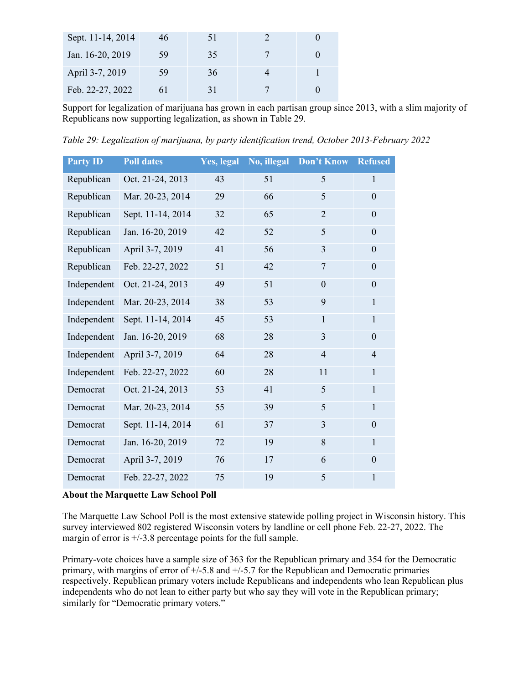| Sept. 11-14, 2014 | 46 | 51 |  |
|-------------------|----|----|--|
| Jan. 16-20, 2019  | 59 | 35 |  |
| April 3-7, 2019   | 59 | 36 |  |
| Feb. 22-27, 2022  |    |    |  |

Support for legalization of marijuana has grown in each partisan group since 2013, with a slim majority of Republicans now supporting legalization, as shown in Table 29.

*Table 29: Legalization of marijuana, by party identification trend, October 2013-February 2022*

| <b>Party ID</b> | <b>Poll dates</b> | Yes, legal | No, illegal | Don't Know     | <b>Refused</b> |
|-----------------|-------------------|------------|-------------|----------------|----------------|
| Republican      | Oct. 21-24, 2013  | 43         | 51          | 5              | $\mathbf{1}$   |
| Republican      | Mar. 20-23, 2014  | 29         | 66          | 5              | $\overline{0}$ |
| Republican      | Sept. 11-14, 2014 | 32         | 65          | $\overline{2}$ | $\theta$       |
| Republican      | Jan. 16-20, 2019  | 42         | 52          | 5              | $\theta$       |
| Republican      | April 3-7, 2019   | 41         | 56          | $\overline{3}$ | $\theta$       |
| Republican      | Feb. 22-27, 2022  | 51         | 42          | $\overline{7}$ | $\overline{0}$ |
| Independent     | Oct. 21-24, 2013  | 49         | 51          | $\overline{0}$ | $\overline{0}$ |
| Independent     | Mar. 20-23, 2014  | 38         | 53          | 9              | 1              |
| Independent     | Sept. 11-14, 2014 | 45         | 53          | 1              | 1              |
| Independent     | Jan. 16-20, 2019  | 68         | 28          | 3              | $\overline{0}$ |
| Independent     | April 3-7, 2019   | 64         | 28          | $\overline{4}$ | 4              |
| Independent     | Feb. 22-27, 2022  | 60         | 28          | 11             | $\mathbf{1}$   |
| Democrat        | Oct. 21-24, 2013  | 53         | 41          | 5              | $\mathbf{1}$   |
| Democrat        | Mar. 20-23, 2014  | 55         | 39          | 5              | 1              |
| Democrat        | Sept. 11-14, 2014 | 61         | 37          | 3              | $\theta$       |
| Democrat        | Jan. 16-20, 2019  | 72         | 19          | 8              | $\mathbf{1}$   |
| Democrat        | April 3-7, 2019   | 76         | 17          | 6              | $\theta$       |
| Democrat        | Feb. 22-27, 2022  | 75         | 19          | 5              | 1              |

# **About the Marquette Law School Poll**

The Marquette Law School Poll is the most extensive statewide polling project in Wisconsin history. This survey interviewed 802 registered Wisconsin voters by landline or cell phone Feb. 22-27, 2022. The margin of error is  $+/-3.8$  percentage points for the full sample.

Primary-vote choices have a sample size of 363 for the Republican primary and 354 for the Democratic primary, with margins of error of  $+/-5.8$  and  $+/-5.7$  for the Republican and Democratic primaries respectively. Republican primary voters include Republicans and independents who lean Republican plus independents who do not lean to either party but who say they will vote in the Republican primary; similarly for "Democratic primary voters."